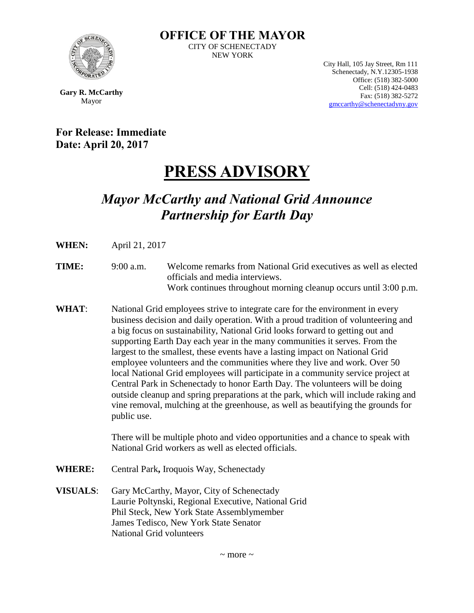

**OFFICE OF THE MAYOR** CITY OF SCHENECTADY NEW YORK

> City Hall, 105 Jay Street, Rm 111 Schenectady, N.Y.12305-1938 Office: (518) 382-5000 Cell: (518) 424-0483 Fax: (518) 382-5272 [gmccarthy@schenectadyny.gov](mailto:gmccarthy@schenectadyny.gov)

**Gary R. McCarthy** Mayor

**For Release: Immediate Date: April 20, 2017** 

## **PRESS ADVISORY**

## *Mayor McCarthy and National Grid Announce Partnership for Earth Day*

- **WHEN:** April 21, 2017
- **TIME:** 9:00 a.m. Welcome remarks from National Grid executives as well as elected officials and media interviews. Work continues throughout morning cleanup occurs until 3:00 p.m.
- **WHAT**: National Grid employees strive to integrate care for the environment in every business decision and daily operation. With a proud tradition of volunteering and a big focus on sustainability, National Grid looks forward to getting out and supporting Earth Day each year in the many communities it serves. From the largest to the smallest, these events have a lasting impact on National Grid employee volunteers and the communities where they live and work. Over 50 local National Grid employees will participate in a community service project at Central Park in Schenectady to honor Earth Day. The volunteers will be doing outside cleanup and spring preparations at the park, which will include raking and vine removal, mulching at the greenhouse, as well as beautifying the grounds for public use.

There will be multiple photo and video opportunities and a chance to speak with National Grid workers as well as elected officials.

- **WHERE:** Central Park**,** Iroquois Way, Schenectady
- **VISUALS**: Gary McCarthy, Mayor, City of Schenectady Laurie Poltynski, Regional Executive, National Grid Phil Steck, New York State Assemblymember James Tedisco, New York State Senator National Grid volunteers